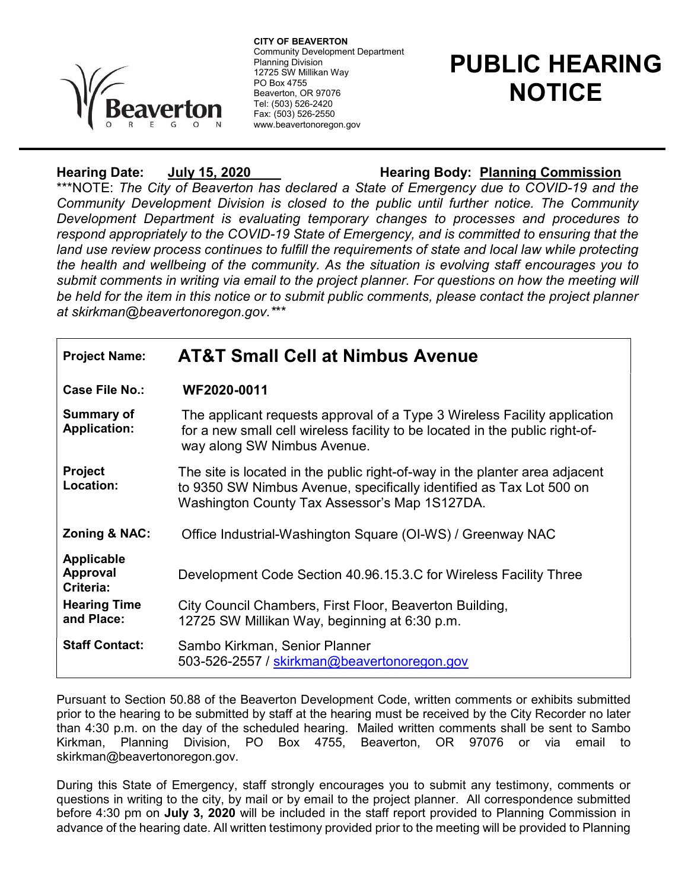

 Community Development Department CITY OF BEAVERTON Planning Division 12725 SW Millikan Way PO Box 4755 Beaverton, OR 97076 Tel: (503) 526-2420 Fax: (503) 526-2550 www.beavertonoregon.gov

## PUBLIC HEARING **NOTICE**

## Hearing Date: July 15, 2020 Hearing Body: Planning Commission

\*\*\*NOTE: The City of Beaverton has declared a State of Emergency due to COVID-19 and the Community Development Division is closed to the public until further notice. The Community Development Department is evaluating temporary changes to processes and procedures to respond appropriately to the COVID-19 State of Emergency, and is committed to ensuring that the land use review process continues to fulfill the requirements of state and local law while protecting the health and wellbeing of the community. As the situation is evolving staff encourages you to submit comments in writing via email to the project planner. For questions on how the meeting will be held for the item in this notice or to submit public comments, please contact the project planner at skirkman@beavertonoregon.gov.\*\*\*

| <b>Project Name:</b>                                                     | <b>AT&amp;T Small Cell at Nimbus Avenue</b>                                                                                                                                                         |
|--------------------------------------------------------------------------|-----------------------------------------------------------------------------------------------------------------------------------------------------------------------------------------------------|
| Case File No.:                                                           | WF2020-0011                                                                                                                                                                                         |
| <b>Summary of</b><br><b>Application:</b>                                 | The applicant requests approval of a Type 3 Wireless Facility application<br>for a new small cell wireless facility to be located in the public right-of-<br>way along SW Nimbus Avenue.            |
| <b>Project</b><br>Location:                                              | The site is located in the public right-of-way in the planter area adjacent<br>to 9350 SW Nimbus Avenue, specifically identified as Tax Lot 500 on<br>Washington County Tax Assessor's Map 1S127DA. |
| Zoning & NAC:                                                            | Office Industrial-Washington Square (OI-WS) / Greenway NAC                                                                                                                                          |
| <b>Applicable</b><br><b>Approval</b><br>Criteria:<br><b>Hearing Time</b> | Development Code Section 40.96.15.3.C for Wireless Facility Three<br>City Council Chambers, First Floor, Beaverton Building,                                                                        |
| and Place:                                                               | 12725 SW Millikan Way, beginning at 6:30 p.m.                                                                                                                                                       |
| <b>Staff Contact:</b>                                                    | Sambo Kirkman, Senior Planner<br>503-526-2557 / skirkman@beavertonoregon.gov                                                                                                                        |

Pursuant to Section 50.88 of the Beaverton Development Code, written comments or exhibits submitted prior to the hearing to be submitted by staff at the hearing must be received by the City Recorder no later than 4:30 p.m. on the day of the scheduled hearing. Mailed written comments shall be sent to Sambo Kirkman, Planning Division, PO Box 4755, Beaverton, OR 97076 or via email to skirkman@beavertonoregon.gov.

During this State of Emergency, staff strongly encourages you to submit any testimony, comments or questions in writing to the city, by mail or by email to the project planner. All correspondence submitted before 4:30 pm on July 3, 2020 will be included in the staff report provided to Planning Commission in advance of the hearing date. All written testimony provided prior to the meeting will be provided to Planning